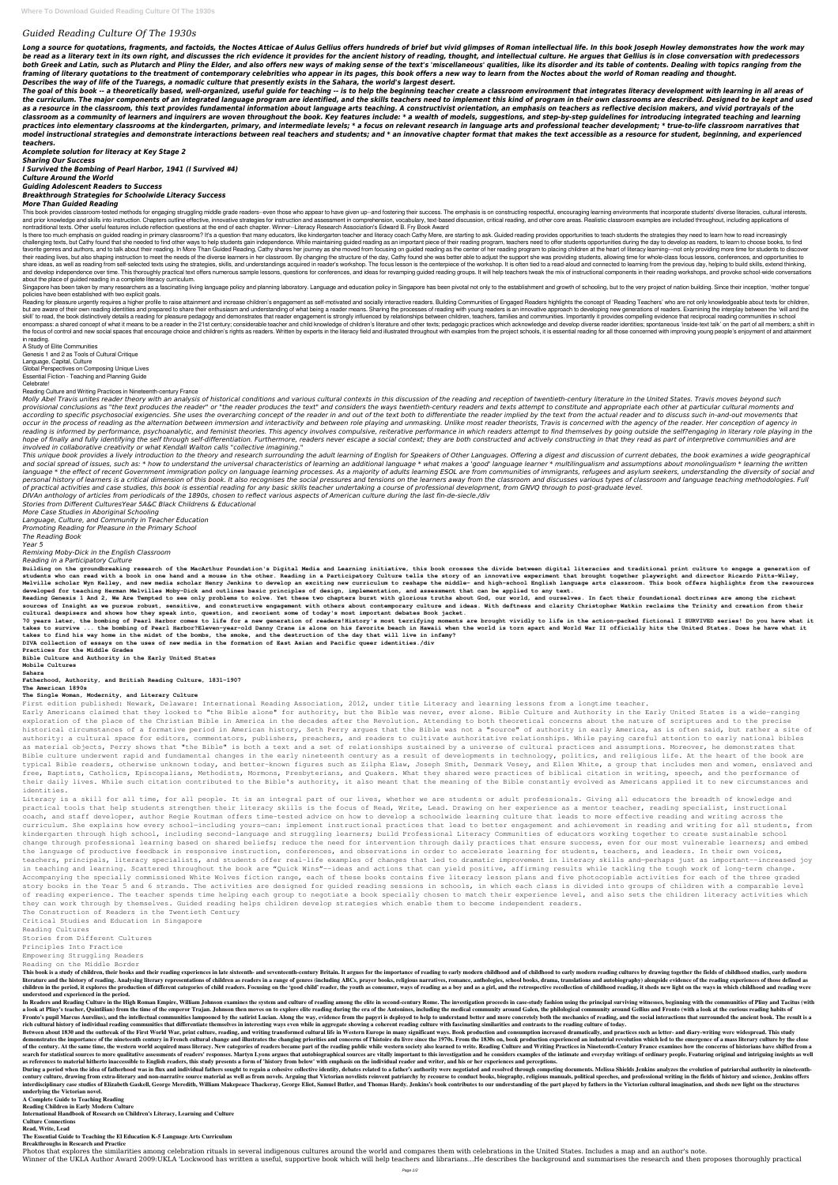# *Guided Reading Culture Of The 1930s*

Long a source for quotations, fragments, and factoids, the Noctes Atticae of Aulus Gellius offers hundreds of brief but vivid glimpses of Roman intellectual life. In this book Joseph Howley demonstrates how the work may be read as a literary text in its own right, and discusses the rich evidence it provides for the ancient history of reading, thought, and intellectual culture. He argues that Gellius is in close conversation with predecess both Greek and Latin, such as Plutarch and Pliny the Elder, and also offers new ways of making sense of the text's 'miscellaneous' qualities, like its disorder and its table of contents. Dealing with topics ranging from th *framing of literary quotations to the treatment of contemporary celebrities who appear in its pages, this book offers a new way to learn from the Noctes about the world of Roman reading and thought. Describes the way of life of the Tuaregs, a nomadic culture that presently exists in the Sahara, the world's largest desert.*

The goal of this book -- a theoretically based, well-organized, useful guide for teaching -- is to help the beginning teacher create a classroom environment that integrates literacy development with learning in all areas o *the curriculum. The major components of an integrated language program are identified, and the skills teachers need to implement this kind of program in their own classrooms are described. Designed to be kept and used as a resource in the classroom, this text provides fundamental information about language arts teaching. A constructivist orientation, an emphasis on teachers as reflective decision makers, and vivid portrayals of the classroom as a community of learners and inquirers are woven throughout the book. Key features include: \* a wealth of models, suggestions, and step-by-step guidelines for introducing integrated teaching and learning* practices into elementary classrooms at the kindergarten, primary, and intermediate levels; \* a focus on relevant research in language arts and professional teacher development; \* true-to-life classroom narratives that *model instructional strategies and demonstrate interactions between real teachers and students; and \* an innovative chapter format that makes the text accessible as a resource for student, beginning, and experienced teachers.*

This book provides classroom-tested methods for engaging struggling middle grade readers--even those who appear to have given up--and fostering their success. The emphasis is on constructing respectful, encouraging learnin and prior knowledge and skills into instruction. Chapters outline effective, innovative strategies for instruction and assessment in comprehension, vocabulary, text-based discussion, critical reading, and other core areas. nontraditional texts. Other useful features include reflection questions at the end of each chapter. Winner--Literacy Research Association's Edward B. Fry Book Award

*Acomplete solution for literacy at Key Stage 2 Sharing Our Success I Survived the Bombing of Pearl Harbor, 1941 (I Survived #4) Culture Around the World Guiding Adolescent Readers to Success Breakthrough Strategies for Schoolwide Literacy Success*

# *More Than Guided Reading*

Is there too much emphasis on guided reading in primary classrooms? It's a question that many educators, like kindergarten teacher and literacy coach Cathy Mere, are starting to ask. Guided reading provides opportunities t challenging texts, but Cathy found that she needed to find other ways to help students gain independence. While maintaining guided reading as an important piece of their reading program, teachers need to offer students opp favorite genres and authors, and to talk about their reading. In More Than Guided Reading, Cathy shares her journey as she moved from focusing on guided reading program to placing children at the heart of literacy learning their reading lives, but also shaping instruction to meet the needs of the diverse learners in her classroom. By changing the structure of the day, Cathy found she was better able to adjust the support she was providing st share ideas, as well as reading from self-selected texts using the strategies, skills, and understandings acquired in reader's workshop. The focus lesson is the centerpiece of the workshop. It is often tied to a read-aloud and develop independence over time. This thoroughly practical text offers numerous sample lessons, questions for conferences, and ideas for revamping quided reading groups. It will help teachers tweak the mix of instructio about the place of guided reading in a complete literacy curriculum.

Singapore has been taken by many researchers as a fascinating living language policy and planning laboratory. Language and education policy in Singapore has been pivotal not only to the establishment and growth of schoolin policies have been established with two explicit goals.

Reading for pleasure urgently requires a higher profile to raise attainment and increase children's engagement as self-motivated and socially interactive readers. Building Communities of Engaged Readers highlights the conc but are aware of their own reading identities and prepared to share their enthusiasm and understanding of what being a reader means. Sharing the processes of reading with young readers is an innovative approach to developi skill' to read, the book distinctively details a reading for pleasure pedagogy and demonstrates that reader engagement is strongly influenced by relationships between children, teachers, families and communities. Important encompass: a shared concept of what it means to be a reader in the 21st century; considerable teacher and child knowledge of children's literature and other texts; pedagogic practices which acknowledge and develop diverse the focus of control and new social spaces that encourage choice and children's rights as readers. Written by experts in the literacy field and illustrated throughout with examples from the project schools, it is essential in reading.

This unique book provides a lively introduction to the theory and research surrounding the adult learning of English for Speakers of Other Languages. Offering a digest and discussion of current debates, the book examines a and social spread of issues, such as: \* how to understand the universal characteristics of learning an additional language \* what makes a 'good' language learner \* multilingualism and assumptions about monolingualism \* lea language \* the effect of recent Government immigration policy on language learning processes. As a majority of adults learning ESOL are from communities of immigrants, refugees and asylum seekers, understanding the diversi personal history of learners is a critical dimension of this book. It also recognises the social pressures and tensions on the learners away from the classroom and discusses various types of classroom and language teaching *of practical activities and case studies, this book is essential reading for any basic skills teacher undertaking a course of professional development, from GNVQ through to post-graduate level.*

Building on the groundbreaking research of the MacArthur Foundation's Digital Media and Learning initiative, this book crosses the divide between digital literacies and traditional print culture to engage a generation of **students who can read with a book in one hand and a mouse in the other. Reading in a Participatory Culture tells the story of an innovative experiment that brought together playwright and director Ricardo Pitts-Wiley,** Melville scholar Wyn Kelley, and new media scholar Henry Jenkins to develop an exciting new curriculum to reshape the middle- and high-school English language arts classroom. This book offers highlights from the resources **developed for teaching Herman Melvilles Moby-Dick and outlines basic principles of design, implementation, and assessment that can be applied to any text.**

70 years later, the bombing of Pearl Harbor comes to life for a new generation of readers!History's most terrifying moments are brought vividly to life in the action-packed fictional I SURVIVED series! Do you have what it takes to survive ... the bombing of Pearl Harbor?Eleven-year-old Danny Crane is alone on his favorite beach in Hawaii when the world is torn apart and World War II officially hits the United States. Does he have what it **takes to find his way home in the midst of the bombs, the smoke, and the destruction of the day that will live in infamy?**

A Study of Elite Communities Genesis 1 and 2 as Tools of Cultural Critique Language, Capital, Culture Global Perspectives on Composing Unique Lives Essential Fiction - Teaching and Planning Guide Celebrate! Reading Culture and Writing Practices in Nineteenth-century France

Molly Abel Travis unites reader theory with an analysis of historical conditions and various cultural contexts in this discussion of the reading and reception of twentieth-century literature in the United States. Travis mo provisional conclusions as "the text produces the reader" or "the reader produces the text" and considers the ways twentieth-century readers and texts attempt to constitute and appropriate each other at particular cultural according to specific psychosocial exigencies. She uses the overarching concept of the reader in and out of the text both to differentiate the reader implied by the text from the actual reader and to discuss such in-and-ou occur in the process of reading as the alternation between immersion and interactivity and between role playing and unmasking. Unlike most reader theorists, Travis is concerned with the agency of the reader. Her conception reading is informed by performance, psychoanalytic, and feminist theories. This agency involves compulsive, reiterative performance in which readers attempt to find themselves by going outside the self?engaging in literary hope of finally and fully identifying the self through self-differentiation. Furthermore, readers never escape a social context; they are both constructed and actively constructing in that they read as part of interpretive

Literacy is a skill for all time, for all people. It is an integral part of our lives, whether we are students or adult professionals. Giving all educators the breadth of knowledge and practical tools that help students strengthen their literacy skills is the focus of Read, Write, Lead. Drawing on her experience as a mentor teacher, reading specialist, instructional coach, and staff developer, author Regie Routman offers time-tested advice on how to develop a schoolwide learning culture that leads to more effective reading and writing across the curriculum. She explains how every school-including yours-can: implement instructional practices that lead to better engagement and achievement in reading and writing for all students, from kindergarten through high school, including second-language and struggling learners; build Professional Literacy Communities of educators working together to create sustainable school change through professional learning based on shared beliefs; reduce the need for intervention through daily practices that ensure success, even for our most vulnerable learners; and embed the language of productive feedback in responsive instruction, conferences, and observations in order to accelerate learning for students, teachers, and leaders. In their own voices, teachers, principals, literacy specialists, and students offer real-life examples of changes that led to dramatic improvement in literacy skills and—perhaps just as important--increased joy in teaching and learning. Scattered throughout the book are "Quick Wins"--ideas and actions that can yield positive, affirming results while tackling the tough work of long-term change. Accompanying the specially commissioned White Wolves fiction range, each of these books contains five literacy lesson plans and five photocopiable activities for each of the three graded story books in the Year 5 and 6 strands. The activities are designed for guided reading sessions in schools, in which each class is divided into groups of children with a comparable level of reading experience. The teacher spends time helping each group to negotiate a book specially chosen to match their experience level, and also sets the children literacy activities which

*involved in collaborative creativity or what Kendall Walton calls "collective imagining."*

This book is a study of children, their books and their reading experiences in late sixteenth- and seventeenth-century Britain. It argues for the importance of reading to early modern reading cultures by drawing together t literature and the history of reading. Analysing literary representations of children as readers in a range of genres (including ABCs, prayer books, religious narratives, romance, anthologies, school books, drama, translat children in the period, it explores the production of different categories of child readers. Focusing on the 'good child' reader, the vouth as consumer, ways of reading as a boy and as a girl, and the retrospective recolle **understood and experienced in the period.**

In Readers and Reading Culture in the High Roman Empire, William Johnson examines the system and culture of reading among the elite in second-century Rome. The investigation proceeds in case-study fashion using the princip a look at Pliny's teacher, Quintilian) from the time of the emperor Trajan. Johnson then moves on to explore elite reading during the era of the Antonines, including the medical community around Galen, the philological com Fronto's pupil Marcus Aurelius), and the intellectual communities lampooned by the satirist Lucian. Along the way, evidence from the papyri is deployed to help to understand better and more concretely both the mechanics of rich cultural history of individual reading communities that differentiate themselves in interesting ways even while in aggregate showing a coherent reading culture with fascinating similarities and contrasts to the readin

*DIVAn anthology of articles from periodicals of the 1890s, chosen to reflect various aspects of American culture during the last fin-de-siecle./div*

*Stories from Different CulturesYear 5A&C Black Childrens & Educational More Case Studies in Aboriginal Schooling Language, Culture, and Community in Teacher Education Promoting Reading for Pleasure in the Primary School*

Between about 1830 and the outbreak of the First World War, print culture, reading, and writing transformed cultural life in Western Europe in many significant ways. Book production and consumption increased dramatically, demonstrates the importance of the nineteenth century in French cultural change and illustrates the changing priorities and concerns of l'histoire du livre since the 1970s. From the 1830s on, book production experienced an of the century. At the same time, the western world acquired mass literacy. New categories of readers became part of the reading public while western society also learned to write. Reading Culture and Writing Practices in search for statistical sources to more qualitative assessments of readers' responses. Martyn Lyons argues that autobiographical sources are vitally important to this investigation and he considers examples of the intimate **as references to material hitherto inaccessible to English readers, this study presents a form of 'history from below' with emphasis on the individual reader and writer, and his or her experiences and perceptions.**

*The Reading Book Year 5*

*Remixing Moby-Dick in the English Classroom*

### *Reading in a Participatory Culture*

During a period when the idea of fatherhood was in flux and individual fathers sought to regain a cohesive collective identity, debates related to a father's authority were negotiated and resolved through competing documen century culture, drawing from extra-literary and non-narrative source material as well as from novels. Arguing that Victorian novelists reinvent patriarchy by recourse to conduct books, biography, religious manuals, politi interdisciplinary case studies of Elizabeth Gaskell, George Meredith, William Makepeace Thackeray, George Eliot, Samuel Butler, and Thomas Hardy. Jenkins's book contributes to our understanding of the part played by father **underlying the Victorian novel.**

Photos that explores the similarities among celebration rituals in several indigenous cultures around the world and compares them with celebrations in the United States. Includes a map and an author's note. Winner of the UKLA Author Award 2009:UKLA 'Lockwood has written a useful, supportive book which will help teachers and librarians...He describes the background and summarises the research and then proposes thoroughly pract

**Reading Genesis 1 And 2, We Are Tempted to see only problems to solve. Yet these two chapters burst with glorious truths about God, our world, and ourselves. In fact their foundational doctrines are among the richest** sources of Insight as we pursue robust, sensitive, and constructive engagement with others about contemporary culture and ideas. With deftness and clarity Christopher Watkin reclaims the Trinity and creation from their **cultural despisers and shows how they speak into, question, and reorient some of today's most important debates Book jacket.**

**DIVA collection of essays on the uses of new media in the formation of East Asian and Pacific queer identities./div**

**Practices for the Middle Grades**

**Bible Culture and Authority in the Early United States**

**Mobile Cultures**

**Sahara**

**Fatherhood, Authority, and British Reading Culture, 1831-1907**

#### **The American 1890s**

#### **The Single Woman, Modernity, and Literary Culture**

First edition published: Newark, Delaware: International Reading Association, 2012, under title Literacy and learning lessons from a longtime teacher.

Early Americans claimed that they looked to "the Bible alone" for authority, but the Bible was never, ever alone. Bible Culture and Authority in the Early United States is a wide-ranging exploration of the place of the Christian Bible in America in the decades after the Revolution. Attending to both theoretical concerns about the nature of scriptures and to the precise historical circumstances of a formative period in American history, Seth Perry argues that the Bible was not a "source" of authority in early America, as is often said, but rather a site of authority: a cultural space for editors, commentators, publishers, preachers, and readers to cultivate authoritative relationships. While paying careful attention to early national bibles as material objects, Perry shows that "the Bible" is both a text and a set of relationships sustained by a universe of cultural practices and assumptions. Moreover, he demonstrates that Bible culture underwent rapid and fundamental changes in the early nineteenth century as a result of developments in technology, politics, and religious life. At the heart of the book are typical Bible readers, otherwise unknown today, and better-known figures such as Zilpha Elaw, Joseph Smith, Denmark Vesey, and Ellen White, a group that includes men and women, enslaved and free, Baptists, Catholics, Episcopalians, Methodists, Mormons, Presbyterians, and Quakers. What they shared were practices of biblical citation in writing, speech, and the performance of their daily lives. While such citation contributed to the Bible's authority, it also meant that the meaning of the Bible constantly evolved as Americans applied it to new circumstances and identities.

they can work through by themselves. Guided reading helps children develop strategies which enable them to become independent readers.

The Construction of Readers in the Twentieth Century

Critical Studies and Education in Singapore

Reading Cultures

Stories from Different Cultures

Principles Into Practice

Empowering Struggling Readers

### Reading on the Middle Border

**A Complete Guide to Teaching Reading**

**Reading Children in Early Modern Culture**

**International Handbook of Research on Children's Literacy, Learning and Culture**

**Culture Connections**

**Read, Write, Lead**

**The Essential Guide to Teaching the El Education K-5 Language Arts Curriculum**

#### **Breakthroughs in Research and Practice**